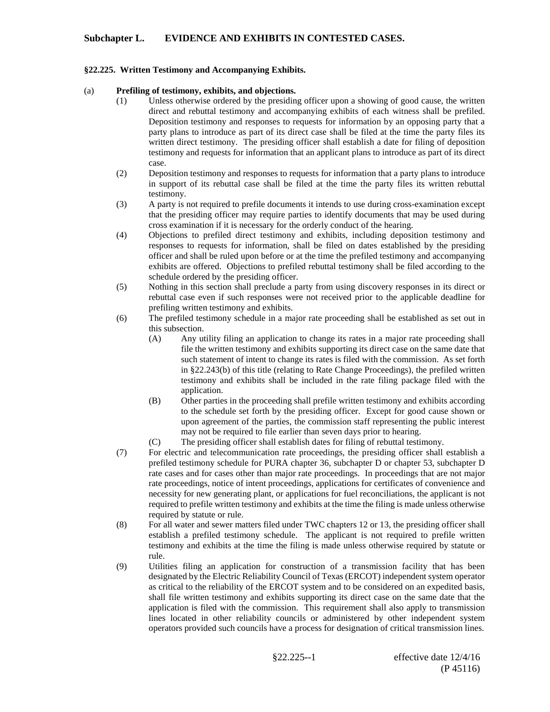## **Subchapter L. EVIDENCE AND EXHIBITS IN CONTESTED CASES.**

## **§22.225. Written Testimony and Accompanying Exhibits.**

## (a) **Prefiling of testimony, exhibits, and objections.**

- (1) Unless otherwise ordered by the presiding officer upon a showing of good cause, the written direct and rebuttal testimony and accompanying exhibits of each witness shall be prefiled. Deposition testimony and responses to requests for information by an opposing party that a party plans to introduce as part of its direct case shall be filed at the time the party files its written direct testimony. The presiding officer shall establish a date for filing of deposition testimony and requests for information that an applicant plans to introduce as part of its direct case.
- (2) Deposition testimony and responses to requests for information that a party plans to introduce in support of its rebuttal case shall be filed at the time the party files its written rebuttal testimony.
- (3) A party is not required to prefile documents it intends to use during cross-examination except that the presiding officer may require parties to identify documents that may be used during cross examination if it is necessary for the orderly conduct of the hearing.
- (4) Objections to prefiled direct testimony and exhibits, including deposition testimony and responses to requests for information, shall be filed on dates established by the presiding officer and shall be ruled upon before or at the time the prefiled testimony and accompanying exhibits are offered. Objections to prefiled rebuttal testimony shall be filed according to the schedule ordered by the presiding officer.
- (5) Nothing in this section shall preclude a party from using discovery responses in its direct or rebuttal case even if such responses were not received prior to the applicable deadline for prefiling written testimony and exhibits.
- (6) The prefiled testimony schedule in a major rate proceeding shall be established as set out in this subsection.
	- (A) Any utility filing an application to change its rates in a major rate proceeding shall file the written testimony and exhibits supporting its direct case on the same date that such statement of intent to change its rates is filed with the commission. As set forth in §22.243(b) of this title (relating to Rate Change Proceedings), the prefiled written testimony and exhibits shall be included in the rate filing package filed with the application.
	- (B) Other parties in the proceeding shall prefile written testimony and exhibits according to the schedule set forth by the presiding officer. Except for good cause shown or upon agreement of the parties, the commission staff representing the public interest may not be required to file earlier than seven days prior to hearing.
	- (C) The presiding officer shall establish dates for filing of rebuttal testimony.
- (7) For electric and telecommunication rate proceedings, the presiding officer shall establish a prefiled testimony schedule for PURA chapter 36, subchapter D or chapter 53, subchapter D rate cases and for cases other than major rate proceedings. In proceedings that are not major rate proceedings, notice of intent proceedings, applications for certificates of convenience and necessity for new generating plant, or applications for fuel reconciliations, the applicant is not required to prefile written testimony and exhibits at the time the filing is made unless otherwise required by statute or rule.
- (8) For all water and sewer matters filed under TWC chapters 12 or 13, the presiding officer shall establish a prefiled testimony schedule. The applicant is not required to prefile written testimony and exhibits at the time the filing is made unless otherwise required by statute or rule.
- (9) Utilities filing an application for construction of a transmission facility that has been designated by the Electric Reliability Council of Texas (ERCOT) independent system operator as critical to the reliability of the ERCOT system and to be considered on an expedited basis, shall file written testimony and exhibits supporting its direct case on the same date that the application is filed with the commission. This requirement shall also apply to transmission lines located in other reliability councils or administered by other independent system operators provided such councils have a process for designation of critical transmission lines.